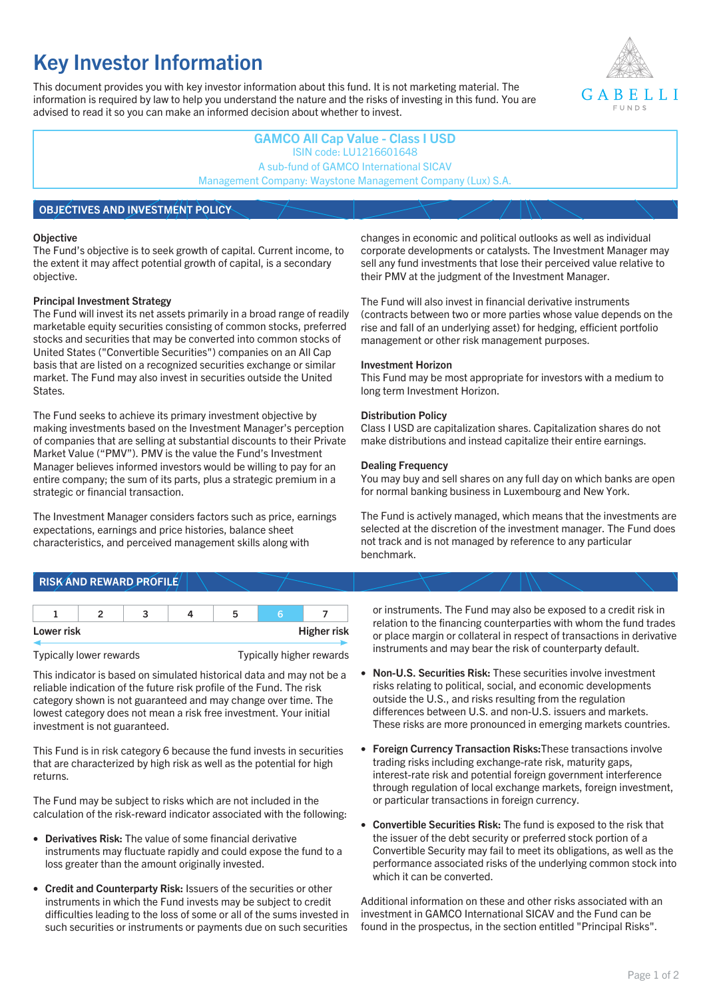# **Key Investor Information**

This document provides you with key investor information about this fund. It is not marketing material. The information is required by law to help you understand the nature and the risks of investing in this fund. You are advised to read it so you can make an informed decision about whether to invest.



## **GAMCO All Cap Value - Class I USD** ISIN code: LU1216601648 A sub-fund of GAMCO International SICAV Management Company: Waystone Management Company (Lux) S.A.

## **OBJECTIVES AND INVESTMENT POLICY**

#### **Objective**

The Fund's objective is to seek growth of capital. Current income, to the extent it may affect potential growth of capital, is a secondary objective.

#### **Principal Investment Strategy**

The Fund will invest its net assets primarily in a broad range of readily marketable equity securities consisting of common stocks, preferred stocks and securities that may be converted into common stocks of United States ("Convertible Securities") companies on an All Cap basis that are listed on a recognized securities exchange or similar market. The Fund may also invest in securities outside the United States.

The Fund seeks to achieve its primary investment objective by making investments based on the Investment Manager's perception of companies that are selling at substantial discounts to their Private Market Value ("PMV"). PMV is the value the Fund's Investment Manager believes informed investors would be willing to pay for an entire company; the sum of its parts, plus a strategic premium in a strategic or financial transaction.

The Investment Manager considers factors such as price, earnings expectations, earnings and price histories, balance sheet characteristics, and perceived management skills along with

#### changes in economic and political outlooks as well as individual corporate developments or catalysts. The Investment Manager may sell any fund investments that lose their perceived value relative to their PMV at the judgment of the Investment Manager.

The Fund will also invest in financial derivative instruments (contracts between two or more parties whose value depends on the rise and fall of an underlying asset) for hedging, efficient portfolio management or other risk management purposes.

#### **Investment Horizon**

This Fund may be most appropriate for investors with a medium to long term Investment Horizon.

#### **Distribution Policy**

Class I USD are capitalization shares. Capitalization shares do not make distributions and instead capitalize their entire earnings.

#### **Dealing Frequency**

You may buy and sell shares on any full day on which banks are open for normal banking business in Luxembourg and New York.

The Fund is actively managed, which means that the investments are selected at the discretion of the investment manager. The Fund does not track and is not managed by reference to any particular benchmark.

# **RISK AND REWARD PROFILE**

| Lower risk |  |  | <b>Higher risk</b> |
|------------|--|--|--------------------|

Typically lower rewards Typically higher rewards

This indicator is based on simulated historical data and may not be a reliable indication of the future risk profile of the Fund. The risk category shown is not guaranteed and may change over time. The lowest category does not mean a risk free investment. Your initial investment is not guaranteed.

This Fund is in risk category 6 because the fund invests in securities that are characterized by high risk as well as the potential for high returns.

The Fund may be subject to risks which are not included in the calculation of the risk-reward indicator associated with the following:

- **Derivatives Risk:** The value of some financial derivative instruments may fluctuate rapidly and could expose the fund to a loss greater than the amount originally invested.
- **Credit and Counterparty Risk:** Issuers of the securities or other instruments in which the Fund invests may be subject to credit difficulties leading to the loss of some or all of the sums invested in such securities or instruments or payments due on such securities

or instruments. The Fund may also be exposed to a credit risk in relation to the financing counterparties with whom the fund trades or place margin or collateral in respect of transactions in derivative instruments and may bear the risk of counterparty default.

- **Non-U.S. Securities Risk:** These securities involve investment risks relating to political, social, and economic developments outside the U.S., and risks resulting from the regulation differences between U.S. and non-U.S. issuers and markets. These risks are more pronounced in emerging markets countries.
- **Foreign Currency Transaction Risks:**These transactions involve trading risks including exchange-rate risk, maturity gaps, interest-rate risk and potential foreign government interference through regulation of local exchange markets, foreign investment, or particular transactions in foreign currency.
- **Convertible Securities Risk:** The fund is exposed to the risk that the issuer of the debt security or preferred stock portion of a Convertible Security may fail to meet its obligations, as well as the performance associated risks of the underlying common stock into which it can be converted.

Additional information on these and other risks associated with an investment in GAMCO International SICAV and the Fund can be found in the prospectus, in the section entitled "Principal Risks".